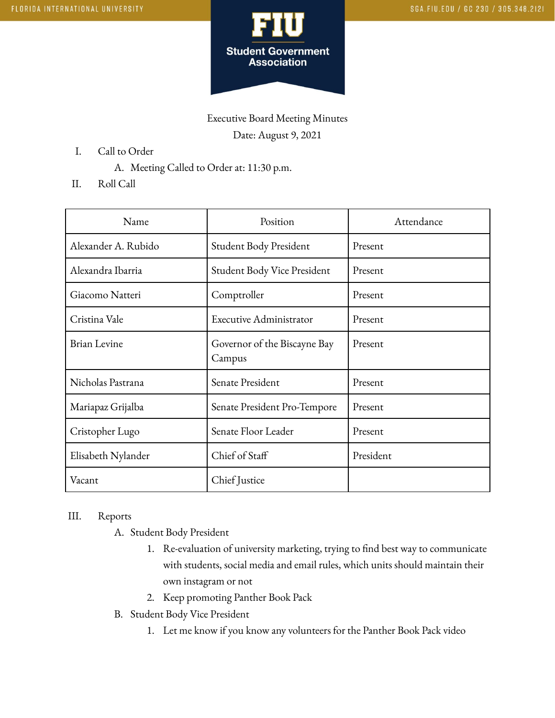

Executive Board Meeting Minutes Date: August 9, 2021

- I. Call to Order
	- A. Meeting Called to Order at: 11:30 p.m.
- II. Roll Call

| Name                | Position                               | Attendance |
|---------------------|----------------------------------------|------------|
| Alexander A. Rubido | Student Body President                 | Present    |
| Alexandra Ibarria   | Student Body Vice President            | Present    |
| Giacomo Natteri     | Comptroller                            | Present    |
| Cristina Vale       | Executive Administrator                | Present    |
| <b>Brian Levine</b> | Governor of the Biscayne Bay<br>Campus | Present    |
| Nicholas Pastrana   | Senate President                       | Present    |
| Mariapaz Grijalba   | Senate President Pro-Tempore           | Present    |
| Cristopher Lugo     | Senate Floor Leader                    | Present    |
| Elisabeth Nylander  | Chief of Staff                         | President  |
| Vacant              | Chief Justice                          |            |

## III. Reports

- A. Student Body President
	- 1. Re-evaluation of university marketing, trying to find best way to communicate with students, social media and email rules, which units should maintain their own instagram or not
	- 2. Keep promoting Panther Book Pack
- B. Student Body Vice President
	- 1. Let me know if you know any volunteers for the Panther Book Pack video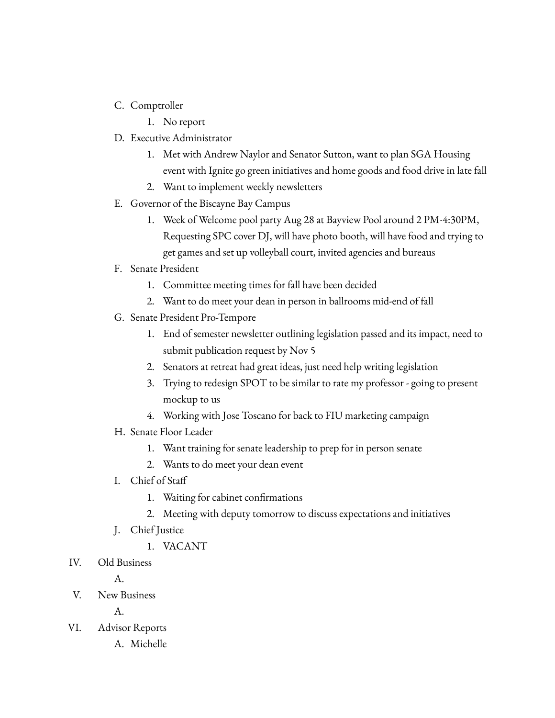- C. Comptroller
	- 1. No report
- D. Executive Administrator
	- 1. Met with Andrew Naylor and Senator Sutton, want to plan SGA Housing event with Ignite go green initiatives and home goods and food drive in late fall
	- 2. Want to implement weekly newsletters
- E. Governor of the Biscayne Bay Campus
	- 1. Week of Welcome pool party Aug 28 at Bayview Pool around 2 PM-4:30PM, Requesting SPC cover DJ, will have photo booth, will have food and trying to get games and set up volleyball court, invited agencies and bureaus
- F. Senate President
	- 1. Committee meeting times for fall have been decided
	- 2. Want to do meet your dean in person in ballrooms mid-end of fall
- G. Senate President Pro-Tempore
	- 1. End of semester newsletter outlining legislation passed and its impact, need to submit publication request by Nov 5
	- 2. Senators at retreat had great ideas, just need help writing legislation
	- 3. Trying to redesign SPOT to be similar to rate my professor going to present mockup to us
	- 4. Working with Jose Toscano for back to FIU marketing campaign
- H. Senate Floor Leader
	- 1. Want training for senate leadership to prep for in person senate
	- 2. Wants to do meet your dean event
- I. Chief of Staff
	- 1. Waiting for cabinet confirmations
	- 2. Meeting with deputy tomorrow to discuss expectations and initiatives
- J. Chief Justice
	- 1. VACANT
- IV. Old Business
	- A.
- V. New Business

A.

- VI. Advisor Reports
	- A. Michelle